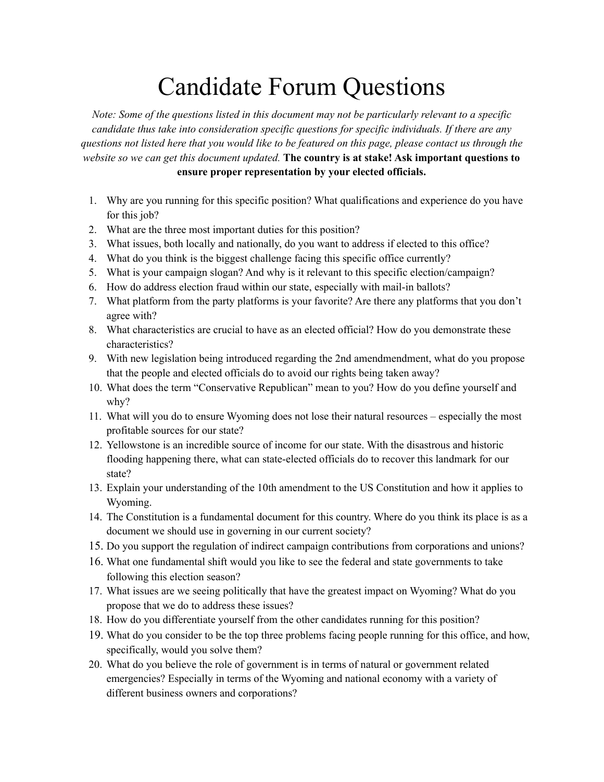## Candidate Forum Questions

*Note: Some of the questions listed in this document may not be particularly relevant to a specific candidate thus take into consideration specific questions for specific individuals. If there are any* questions not listed here that you would like to be featured on this page, please contact us through the *website so we can get this document updated.* **The country is at stake! Ask important questions to ensure proper representation by your elected officials.**

- 1. Why are you running for this specific position? What qualifications and experience do you have for this job?
- 2. What are the three most important duties for this position?
- 3. What issues, both locally and nationally, do you want to address if elected to this office?
- 4. What do you think is the biggest challenge facing this specific office currently?
- 5. What is your campaign slogan? And why is it relevant to this specific election/campaign?
- 6. How do address election fraud within our state, especially with mail-in ballots?
- 7. What platform from the party platforms is your favorite? Are there any platforms that you don't agree with?
- 8. What characteristics are crucial to have as an elected official? How do you demonstrate these characteristics?
- 9. With new legislation being introduced regarding the 2nd amendmendment, what do you propose that the people and elected officials do to avoid our rights being taken away?
- 10. What does the term "Conservative Republican" mean to you? How do you define yourself and why?
- 11. What will you do to ensure Wyoming does not lose their natural resources especially the most profitable sources for our state?
- 12. Yellowstone is an incredible source of income for our state. With the disastrous and historic flooding happening there, what can state-elected officials do to recover this landmark for our state?
- 13. Explain your understanding of the 10th amendment to the US Constitution and how it applies to Wyoming.
- 14. The Constitution is a fundamental document for this country. Where do you think its place is as a document we should use in governing in our current society?
- 15. Do you support the regulation of indirect campaign contributions from corporations and unions?
- 16. What one fundamental shift would you like to see the federal and state governments to take following this election season?
- 17. What issues are we seeing politically that have the greatest impact on Wyoming? What do you propose that we do to address these issues?
- 18. How do you differentiate yourself from the other candidates running for this position?
- 19. What do you consider to be the top three problems facing people running for this office, and how, specifically, would you solve them?
- 20. What do you believe the role of government is in terms of natural or government related emergencies? Especially in terms of the Wyoming and national economy with a variety of different business owners and corporations?